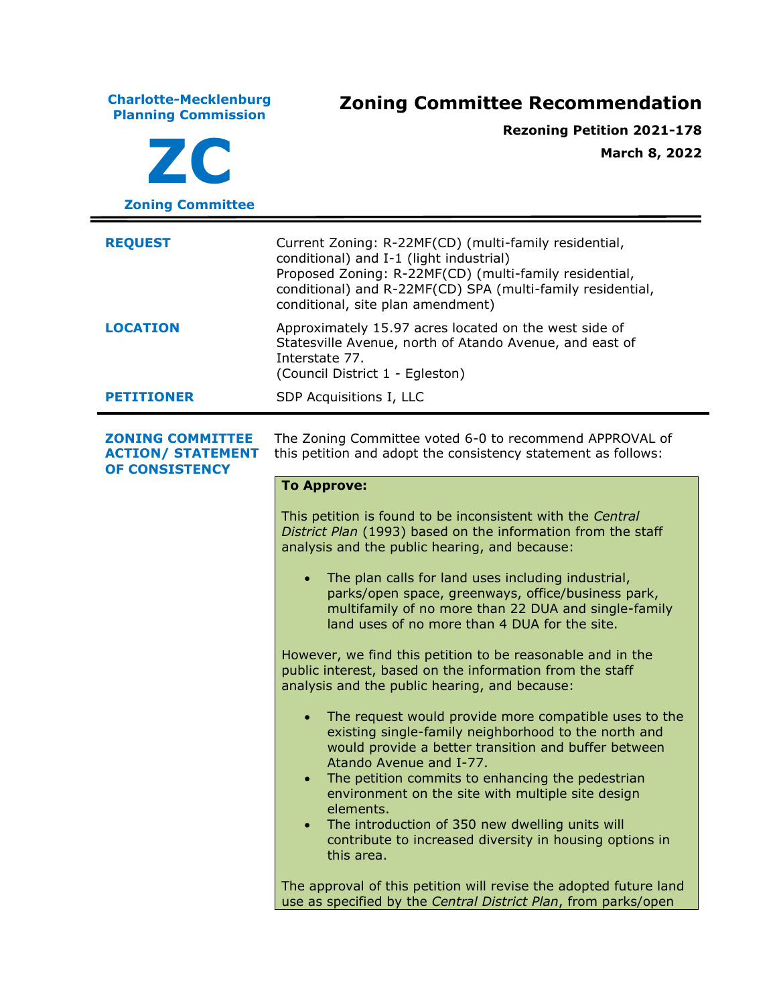**Charlotte-Mecklenburg Planning Commission Zoning Committee Recommendation ZC Zoning Committee Rezoning Petition 2021-178 March 8, 2022 REQUEST** Current Zoning: R-22MF(CD) (multi-family residential, conditional) and I-1 (light industrial) Proposed Zoning: R-22MF(CD) (multi-family residential, conditional) and R-22MF(CD) SPA (multi-family residential, conditional, site plan amendment) **LOCATION** Approximately 15.97 acres located on the west side of Statesville Avenue, north of Atando Avenue, and east of Interstate 77. (Council District 1 - Egleston) **PETITIONER** SDP Acquisitions I, LLC **ZONING COMMITTEE ACTION/ STATEMENT OF CONSISTENCY** The Zoning Committee voted 6-0 to recommend APPROVAL of this petition and adopt the consistency statement as follows: **To Approve:** This petition is found to be inconsistent with the *Central District Plan* (1993) based on the information from the staff analysis and the public hearing, and because: The plan calls for land uses including industrial, parks/open space, greenways, office/business park, multifamily of no more than 22 DUA and single-family land uses of no more than 4 DUA for the site. However, we find this petition to be reasonable and in the public interest, based on the information from the staff analysis and the public hearing, and because: • The request would provide more compatible uses to the existing single-family neighborhood to the north and would provide a better transition and buffer between Atando Avenue and I-77. • The petition commits to enhancing the pedestrian environment on the site with multiple site design elements. • The introduction of 350 new dwelling units will contribute to increased diversity in housing options in this area. The approval of this petition will revise the adopted future land use as specified by the *Central District Plan*, from parks/open